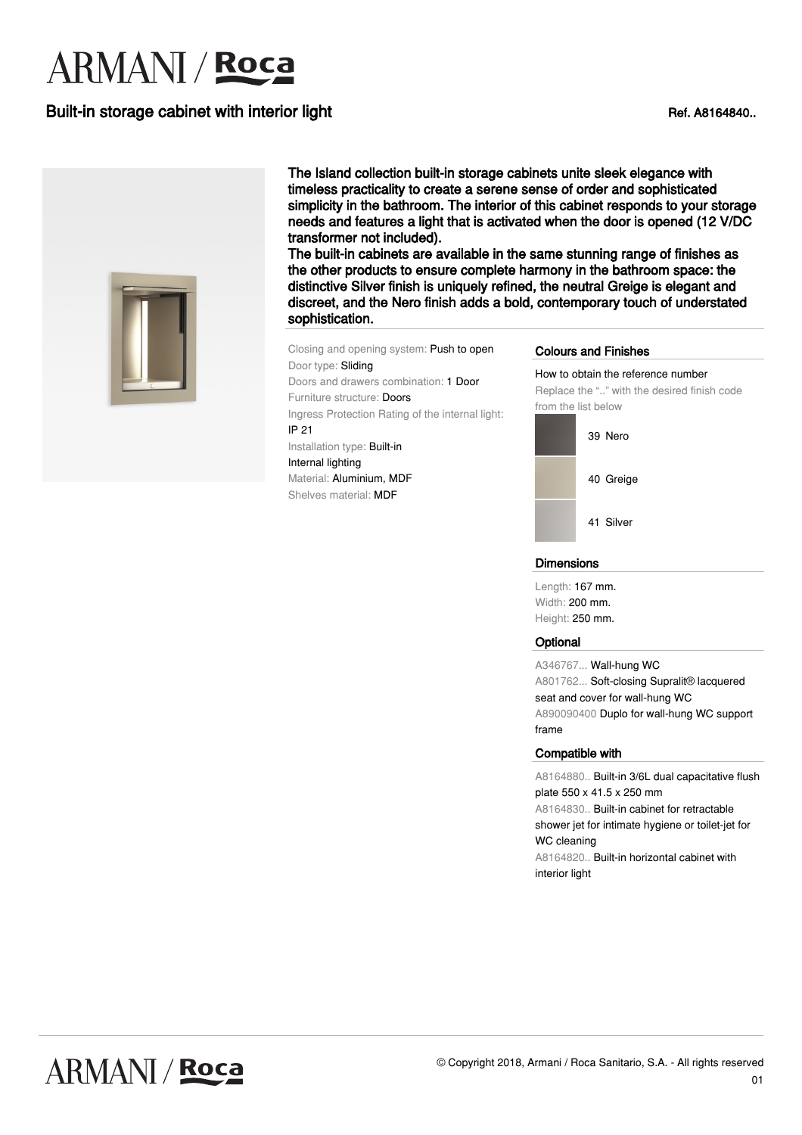# **ARMANI** / **Roca**

## Built-in storage cabinet with interior light Ref. A8164840..



The Island collection built-in storage cabinets unite sleek elegance with timeless practicality to create a serene sense of order and sophisticated simplicity in the bathroom. The interior of this cabinet responds to your storage needs and features a light that is activated when the door is opened (12 V/DC transformer not included).

The built-in cabinets are available in the same stunning range of finishes as the other products to ensure complete harmony in the bathroom space: the distinctive Silver finish is uniquely refined, the neutral Greige is elegant and discreet, and the Nero finish adds a bold, contemporary touch of understated sophistication.

Closing and opening system: Push to open Door type: Sliding Doors and drawers combination: 1 Door Furniture structure: Doors Ingress Protection Rating of the internal light: IP 21 Installation type: Built-in Internal lighting Material: Aluminium, MDF Shelves material: MDF

#### Colours and Finishes

How to obtain the reference number Replace the ".." with the desired finish code from the list below



#### **Dimensions**

Length: 167 mm. Width: 200 mm. Height: 250 mm.

#### **Optional**

A346767... Wall-hung WC A801762... Soft-closing Supralit® lacquered seat and cover for wall-hung WC A890090400 Duplo for wall-hung WC support frame

#### Compatible with

A8164880.. Built-in 3/6L dual capacitative flush plate 550 x 41.5 x 250 mm A8164830.. Built-in cabinet for retractable shower jet for intimate hygiene or toilet-jet for WC cleaning A8164820.. Built-in horizontal cabinet with interior light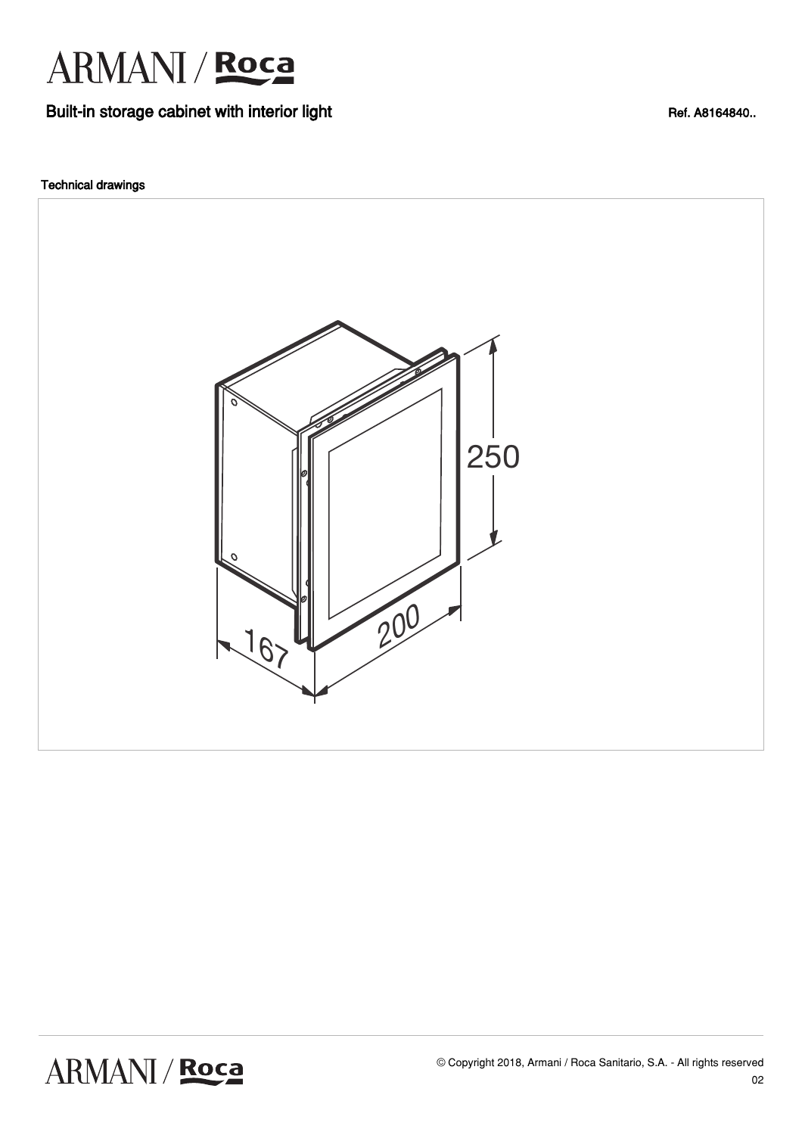

## Built-in storage cabinet with interior light Ref. A8164840..

### Technical drawings

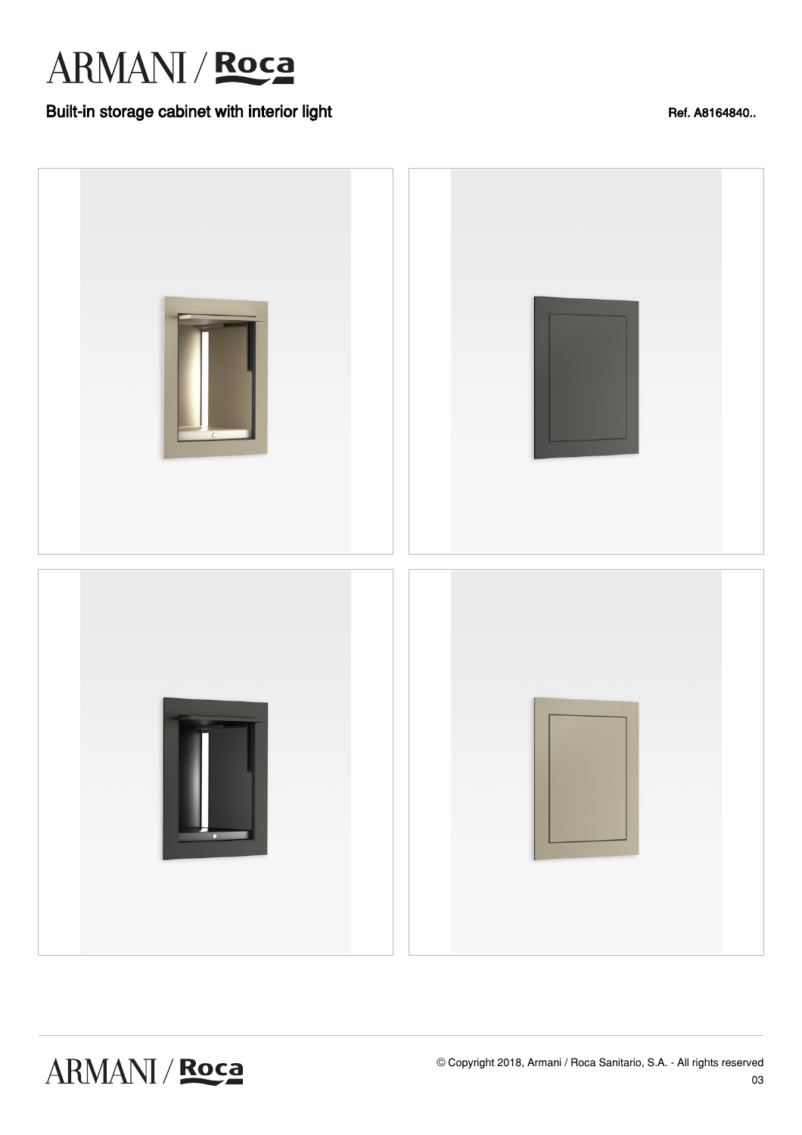

## Built-in storage cabinet with interior light Ref. A8164840..